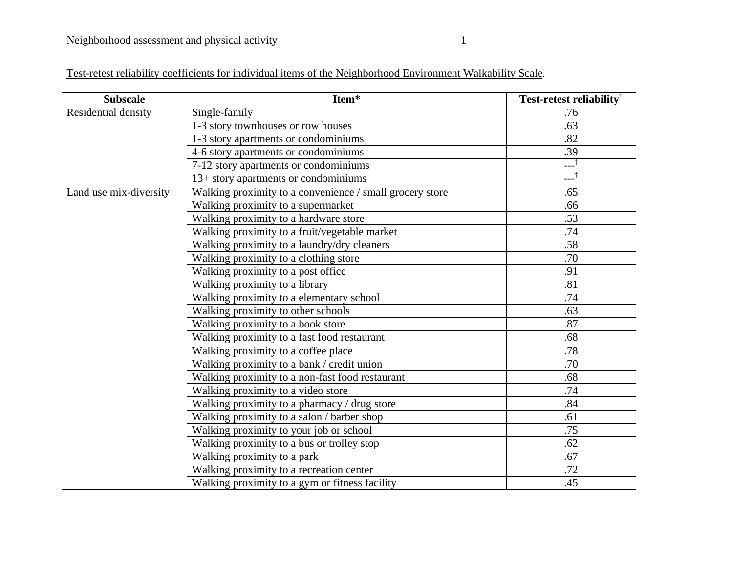| Test-retest reliability coefficients for individual items of the Neighborhood Environment Walkability Scale. |  |  |  |  |
|--------------------------------------------------------------------------------------------------------------|--|--|--|--|
|                                                                                                              |  |  |  |  |

| <b>Subscale</b>        | Item*                                                    | <b>Test-retest reliability</b> <sup>†</sup> |
|------------------------|----------------------------------------------------------|---------------------------------------------|
| Residential density    | Single-family                                            | .76                                         |
|                        | 1-3 story townhouses or row houses                       | .63                                         |
|                        | 1-3 story apartments or condominiums                     | .82                                         |
|                        | 4-6 story apartments or condominiums                     | .39                                         |
|                        | 7-12 story apartments or condominiums                    | $-1$                                        |
|                        | 13+ story apartments or condominiums                     | ___‡                                        |
| Land use mix-diversity | Walking proximity to a convenience / small grocery store | .65                                         |
|                        | Walking proximity to a supermarket                       | .66                                         |
|                        | Walking proximity to a hardware store                    | .53                                         |
|                        | Walking proximity to a fruit/vegetable market            | .74                                         |
|                        | Walking proximity to a laundry/dry cleaners              | .58                                         |
|                        | Walking proximity to a clothing store                    | .70                                         |
|                        | Walking proximity to a post office                       | .91                                         |
|                        | Walking proximity to a library                           | .81                                         |
|                        | Walking proximity to a elementary school                 | .74                                         |
|                        | Walking proximity to other schools                       | .63                                         |
|                        | Walking proximity to a book store                        | .87                                         |
|                        | Walking proximity to a fast food restaurant              | .68                                         |
|                        | Walking proximity to a coffee place                      | .78                                         |
|                        | Walking proximity to a bank / credit union               | .70                                         |
|                        | Walking proximity to a non-fast food restaurant          | .68                                         |
|                        | Walking proximity to a video store                       | .74                                         |
|                        | Walking proximity to a pharmacy / drug store             | .84                                         |
|                        | Walking proximity to a salon / barber shop               | .61                                         |
|                        | Walking proximity to your job or school                  | .75                                         |
|                        | Walking proximity to a bus or trolley stop               | .62                                         |
|                        | Walking proximity to a park                              | .67                                         |
|                        | Walking proximity to a recreation center                 | .72                                         |
|                        | Walking proximity to a gym or fitness facility           | .45                                         |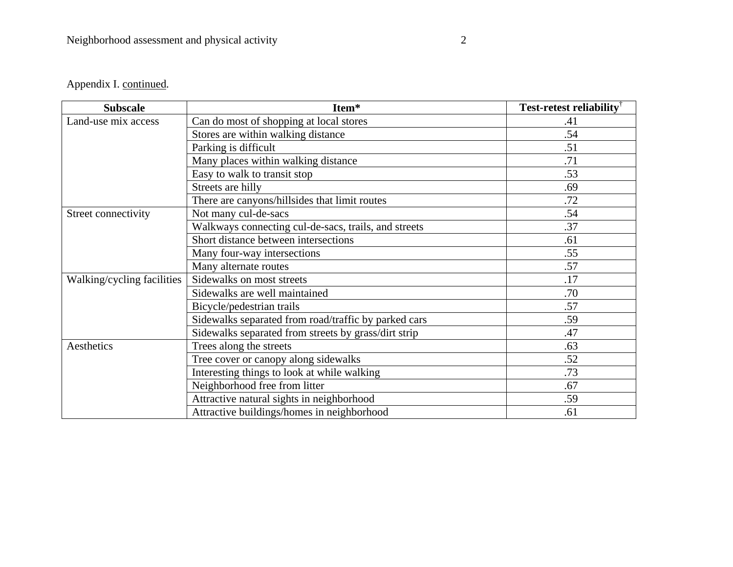## Appendix I. continued.

| <b>Subscale</b>            | Item*                                                | <b>Test-retest reliability</b> |
|----------------------------|------------------------------------------------------|--------------------------------|
| Land-use mix access        | Can do most of shopping at local stores              | .41                            |
|                            | Stores are within walking distance                   | .54                            |
|                            | Parking is difficult                                 | .51                            |
|                            | Many places within walking distance                  | .71                            |
|                            | Easy to walk to transit stop                         | .53                            |
|                            | Streets are hilly                                    | .69                            |
|                            | There are canyons/hillsides that limit routes        | .72                            |
| Street connectivity        | Not many cul-de-sacs                                 | .54                            |
|                            | Walkways connecting cul-de-sacs, trails, and streets | .37                            |
|                            | Short distance between intersections                 | .61                            |
|                            | Many four-way intersections                          | .55                            |
|                            | Many alternate routes                                | .57                            |
| Walking/cycling facilities | Sidewalks on most streets                            | .17                            |
|                            | Sidewalks are well maintained                        | .70                            |
|                            | Bicycle/pedestrian trails                            | .57                            |
|                            | Sidewalks separated from road/traffic by parked cars | .59                            |
|                            | Sidewalks separated from streets by grass/dirt strip | .47                            |
| Aesthetics                 | Trees along the streets                              | .63                            |
|                            | Tree cover or canopy along sidewalks                 | .52                            |
|                            | Interesting things to look at while walking          | .73                            |
|                            | Neighborhood free from litter                        | .67                            |
|                            | Attractive natural sights in neighborhood            | .59                            |
|                            | Attractive buildings/homes in neighborhood           | .61                            |